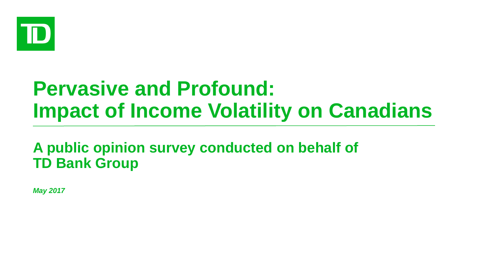

# **Pervasive and Profound: Impact of Income Volatility on Canadians**

**A public opinion survey conducted on behalf of TD Bank Group**

*May 2017*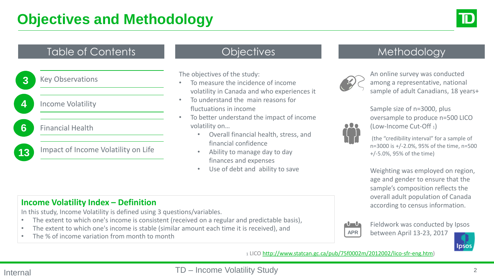

### Table of Contents

**3** Key Observations

**4.** Income Volatility

**6** Financial Health

13 Impact of Income Volatility on Life

The objectives of the study:

- To measure the incidence of income volatility in Canada and who experiences it
- To understand the main reasons for fluctuations in income
- To better understand the impact of income volatility on…
	- Overall financial health, stress, and financial confidence
	- Ability to manage day to day finances and expenses
	- Use of debt and ability to save

### Objectives **Methodology**



An online survey was conducted among a representative, national sample of adult Canadians, 18 years+

Sample size of n=3000, plus oversample to produce n=500 LICO (Low-Income Cut-Off 1)



(the "credibility interval" for a sample of n=3000 is +/-2.0%, 95% of the time, n=500 +/-5.0%, 95% of the time)

Weighting was employed on region, age and gender to ensure that the sample's composition reflects the overall adult population of Canada according to census information.

#### **Income Volatility Index – Definition**

In this study, Income Volatility is defined using 3 questions/variables.

- The extent to which one's income is consistent (received on a regular and predictable basis),
- The extent to which one's income is stable (similar amount each time it is received), and
- The % of income variation from month to month



Fieldwork was conducted by Ipsos between April 13-23, 2017



<sup>1</sup> LICO<http://www.statcan.gc.ca/pub/75f0002m/2012002/lico-sfr-eng.htm>)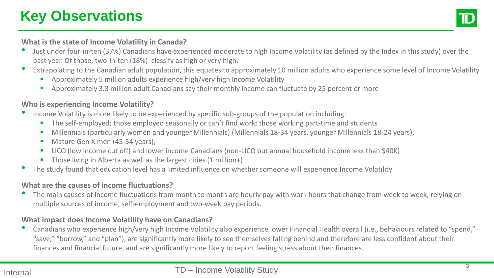

#### **What is the state of Income Volatility in Canada?**

- Just under four-in-ten (37%) Canadians have experienced moderate to high Income Volatility (as defined by the Index in this study) over the past year. Of those, two-in-ten (18%) classify as high or very high.
- Extrapolating to the Canadian adult population, this equates to approximately 10 million adults who experience some level of Income Volatility
	- Approximately 5 million adults experience high/very high Income Volatility
	- Approximately 3.3 million adult Canadians say their monthly income can fluctuate by 25 percent or more

#### **Who is experiencing Income Volatility?**

- Income Volatility is more likely to be experienced by specific sub-groups of the population including:
	- The self-employed; those employed seasonally or can't find work; those working part-time and students
	- Millennials (particularly women and younger Millennials) (Millennials 18-34 years, younger Millennials 18-24 years),
	- Mature Gen X men (45-54 years),
	- LICO (low income cut off) and lower income Canadians (non-LICO but annual household income less than \$40K)
	- Those living in Alberta as well as the largest cities (1 million+)
- The study found that education level has a limited influence on whether someone will experience Income Volatility

#### **What are the causes of income fluctuations?**

The main causes of income fluctuations from month to month are hourly pay with work hours that change from week to week, relying on multiple sources of income, self-employment and two-week pay periods.

#### **What impact does Income Volatility have on Canadians?**

• Canadians who experience high/very high Income Volatility also experience lower Financial Health overall (i.e., behaviours related to "spend," "save," "borrow," and "plan"), are significantly more likely to see themselves falling behind and therefore are less confident about their finances and financial future, and are significantly more likely to report feeling stress about their finances.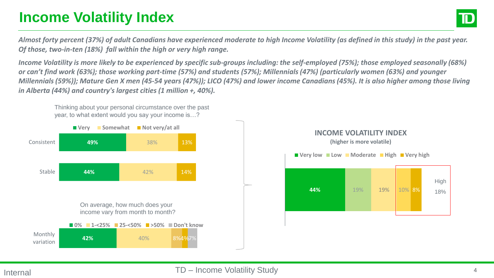# **Income Volatility Index**

*Almost forty percent (37%) of adult Canadians have experienced moderate to high Income Volatility (as defined in this study) in the past year. Of those, two-in-ten (18%) fall within the high or very high range.*

*Income Volatility is more likely to be experienced by specific sub-groups including: the self-employed (75%); those employed seasonally (68%) or can't find work (63%); those working part-time (57%) and students (57%); Millennials (47%) (particularly women (63%) and younger Millennials (59%)); Mature Gen X men (45-54 years (47%)); LICO (47%) and lower income Canadians (45%). It is also higher among those living in Alberta (44%) and country's largest cities (1 million +, 40%).* 

Thinking about your personal circumstance over the past year, to what extent would you say your income is…?



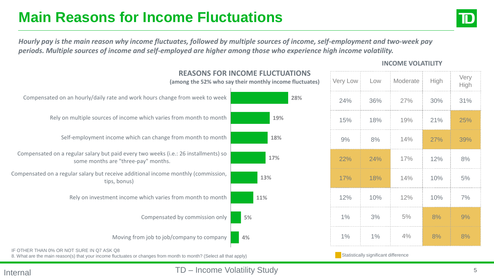# **Main Reasons for Income Fluctuations**



High

*Hourly pay is the main reason why income fluctuates, followed by multiple sources of income, self-employment and two-week pay periods. Multiple sources of income and self-employed are higher among those who experience high income volatility.* 



### **INCOME VOLATILITY**

Internal **Internal Internal Internal**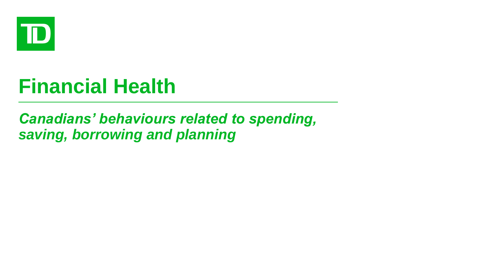

# **Financial Health**

## *Canadians' behaviours related to spending, saving, borrowing and planning*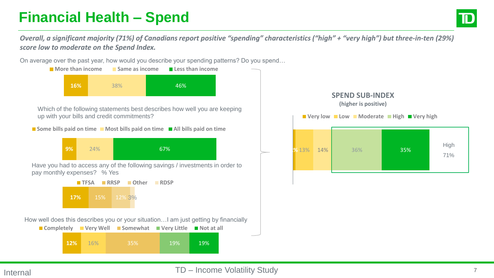# **Financial Health – Spend**

*Overall, a significant majority (71%) of Canadians report positive "spending" characteristics ("high" + "very high") but three-in-ten (29%) score low to moderate on the Spend Index.* 

On average over the past year, how would you describe your spending patterns? Do you spend…



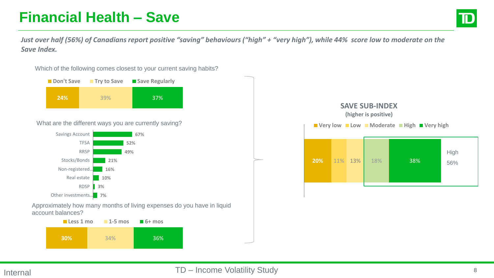# **Financial Health – Save**



*Just over half (56%) of Canadians report positive "saving" behaviours ("high" + "very high"), while 44% score low to moderate on the Save Index.* 



Which of the following comes closest to your current saving habits?

Approximately how many months of living expenses do you have in liquid account balances?

| <b>Less 1 mo</b> | $\blacksquare$ 1-5 mos | $\blacksquare$ 6+ mos |
|------------------|------------------------|-----------------------|
| <b>30%</b>       | 34%                    | <b>36%</b>            |

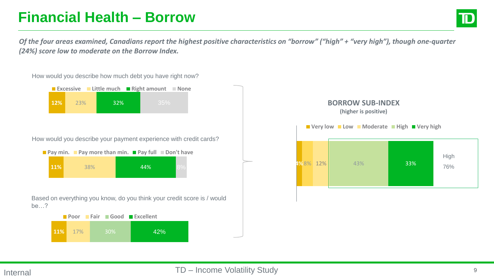# **Financial Health – Borrow**

High 76%

*Of the four areas examined, Canadians report the highest positive characteristics on "borrow" ("high" + "very high"), though one-quarter (24%) score low to moderate on the Borrow Index.* 



#### Internal TD – Income Volatility Study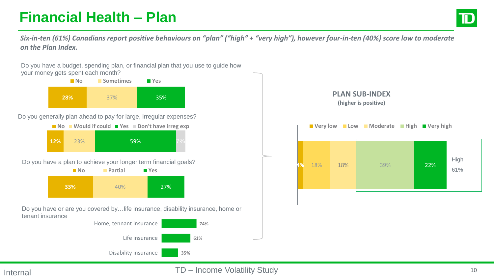# **Financial Health – Plan**



*Six-in-ten (61%) Canadians report positive behaviours on "plan" ("high" + "very high"), however four-in-ten (40%) score low to moderate on the Plan Index.*

**28%** 37% 35% **No Sometimes P**Yes Do you have a budget, spending plan, or financial plan that you use to guide how your money gets spent each month? Do you generally plan ahead to pay for large, irregular expenses? ■ No ■ Would if could ■ Yes ■ Don't have irreg exp

|            | <b>I</b> IVO VÝDUJU II COURL <b>II</b> I CS <b>III DOIL CHAVC III C</b> S CA |  |     |  |  |
|------------|------------------------------------------------------------------------------|--|-----|--|--|
| <b>12%</b> | 23%                                                                          |  | 59% |  |  |

Do you have a plan to achieve your longer term financial goals?



Do you have or are you covered by…life insurance, disability insurance, home or tenant insurance





### Internal **Internal Internal Internal**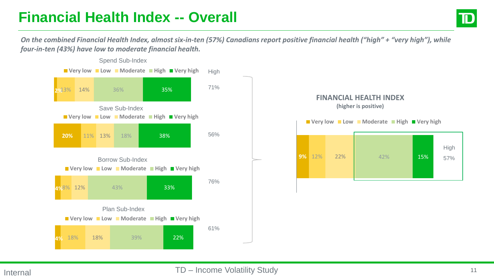## **Financial Health Index -- Overall**

*On the combined Financial Health Index, almost six-in-ten (57%) Canadians report positive financial health ("high" + "very high"), while four-in-ten (43%) have low to moderate financial health.* 



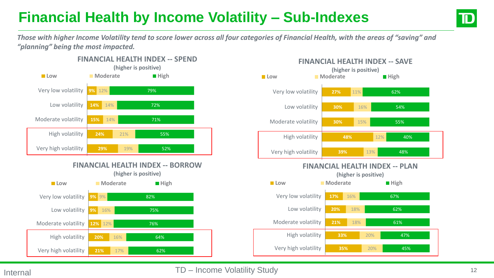# **Financial Health by Income Volatility – Sub-Indexes**



*Those with higher Income Volatility tend to score lower across all four categories of Financial Health, with the areas of "saving" and "planning" being the most impacted.* 





### Internal TD – Income Volatility Study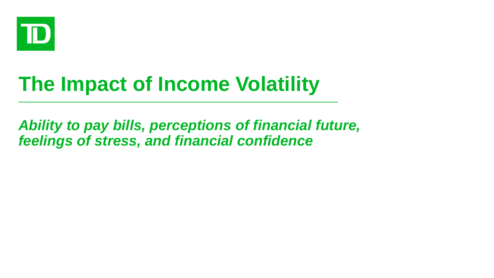

# **The Impact of Income Volatility**

*Ability to pay bills, perceptions of financial future, feelings of stress, and financial confidence*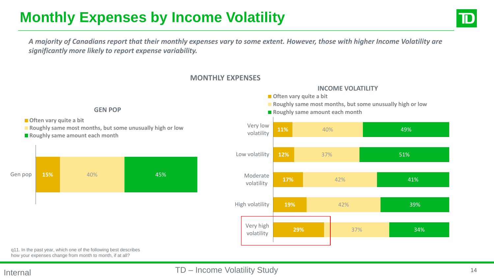# **Monthly Expenses by Income Volatility**

*A majority of Canadians report that their monthly expenses vary to some extent. However, those with higher Income Volatility are significantly more likely to report expense variability.* 



**Often vary quite a bit** 

**Roughly same most months, but some unusually high or low** 

■ Roughly same amount each month



q11. In the past year, which one of the following best describes how your expenses change from month to month, if at all?

#### Internal TD – Income Volatility Study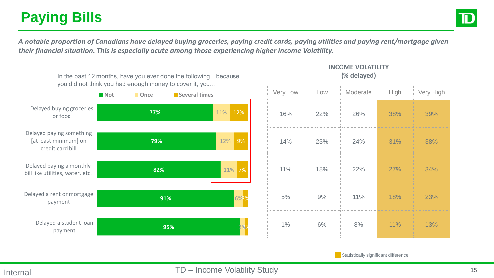# **Paying Bills**

*A notable proportion of Canadians have delayed buying groceries, paying credit cards, paying utilities and paying rent/mortgage given their financial situation. This is especially acute among those experiencing higher Income Volatility.* 



In the past 12 months, have you ever done the following...because

**Statistically significant difference** 

**INCOME VOLATILITY**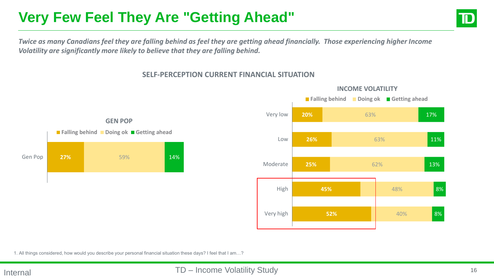# **Very Few Feel They Are "Getting Ahead"**



*Twice as many Canadians feel they are falling behind as feel they are getting ahead financially. Those experiencing higher Income Volatility are significantly more likely to believe that they are falling behind.* 

#### **SELF-PERCEPTION CURRENT FINANCIAL SITUATION**







■ Falling behind ■ Doing ok ■ Getting ahead

**GEN POP**

1. All things considered, how would you describe your personal financial situation these days? I feel that I am…?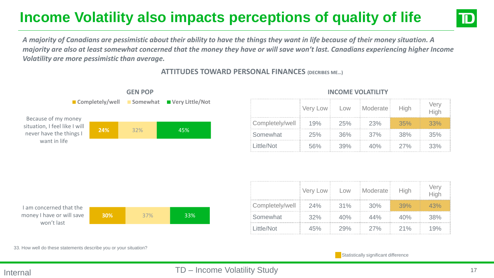# **Income Volatility also impacts perceptions of quality of life**



*A majority of Canadians are pessimistic about their ability to have the things they want in life because of their money situation. A majority are also at least somewhat concerned that the money they have or will save won't last. Canadians experiencing higher Income Volatility are more pessimistic than average.* 



#### **ATTITUDES TOWARD PERSONAL FINANCES (DECRIBES ME…)**

|                 | Very Low | Low    | Moderate | High | /er |
|-----------------|----------|--------|----------|------|-----|
| Completely/well | 19%      | 25%    | 23%      | 35%  | 33% |
| Somewhat        | 25%      | $36\%$ | $.37\%$  | 38%  | 35% |
| Little/Not      | 56%      | 39%    | 40%      | 27%  | 33% |

| I am concerned that the   |            |     |      |
|---------------------------|------------|-----|------|
| money I have or will save | <b>30%</b> | 37% | -33% |
| won't last                |            |     |      |
|                           |            |     |      |

|                     | Very Low Low |        | Moderate | <b>High</b> | verv |
|---------------------|--------------|--------|----------|-------------|------|
| Completely/well 24% |              | $31\%$ | 30%      | 39%         | 43%  |
| Somewhat            | 32%          | 40%    | 44%      | 40%         | 38%  |
| Little/Not          | 45%          | 29%    | 27%      | 21%         | 19%  |

33. How well do these statements describe you or your situation?

**Statistically significant difference** 

#### Internal TD – Income Volatility Study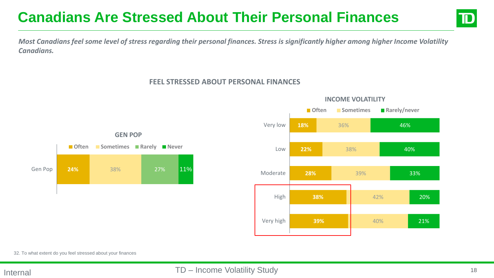## **Canadians Are Stressed About Their Personal Finances**



*Most Canadians feel some level of stress regarding their personal finances. Stress is significantly higher among higher Income Volatility Canadians.* 

#### **FEEL STRESSED ABOUT PERSONAL FINANCES**





### **INCOME VOLATILITY**

32. To what extent do you feel stressed about your finances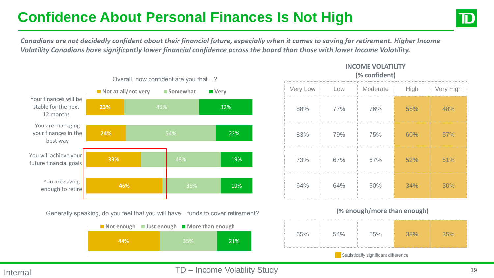# **Confidence About Personal Finances Is Not High**



*Canadians are not decidedly confident about their financial future, especially when it comes to saving for retirement. Higher Income Volatility Canadians have significantly lower financial confidence across the board than those with lower Income Volatility.* 



Generally speaking, do you feel that you will have…funds to cover retirement?

| ■ Not enough ■ Just enough ■ More than enough |  |            |            |
|-----------------------------------------------|--|------------|------------|
| 44%                                           |  | <b>35%</b> | <b>21%</b> |
|                                               |  |            |            |

#### **INCOME VOLATILITY**

**(% confident)**

| Very Low | Low | Moderate | High | Very High |
|----------|-----|----------|------|-----------|
| 88%      | 77% | 76%      | 55%  | 48%       |
| 83%      | 79% | 75%      | 60%  | 57%       |
| 73%      | 67% | 67%      | 52%  | 51%       |
| 64%      | 64% | 50%      | 34%  | 30%       |

#### **(% enough/more than enough)**

|                                      | $.54\%$ | $\sim$ / $\sim$ |  |  |  |  |
|--------------------------------------|---------|-----------------|--|--|--|--|
| Statistically significant difference |         |                 |  |  |  |  |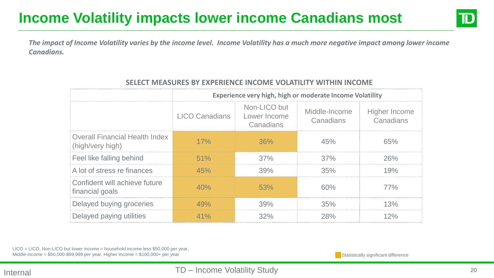## **Income Volatility impacts lower income Canadians most**



*The impact of Income Volatility varies by the income level. Income Volatility has a much more negative impact among lower income Canadians.* 

|                                                           | Experience very high, high or moderate Income Volatility |                                           |                            |                                   |  |  |
|-----------------------------------------------------------|----------------------------------------------------------|-------------------------------------------|----------------------------|-----------------------------------|--|--|
|                                                           | <b>LICO Canadians</b>                                    | Non-LICO but<br>Lower Income<br>Canadians | Middle-Income<br>Canadians | <b>Higher Income</b><br>Canadians |  |  |
| <b>Overall Financial Health Index</b><br>(high/very high) | 17%                                                      | 36%                                       | 45%                        | 65%                               |  |  |
| Feel like falling behind                                  | 51%                                                      | 37%                                       | 37%                        | 26%                               |  |  |
| A lot of stress re finances                               | 45%                                                      | 39%                                       | 35%                        | 19%                               |  |  |
| Confident will achieve future<br>financial goals          | 40%                                                      | 53%                                       | 60%                        | 77%                               |  |  |
| Delayed buying groceries                                  | 49%                                                      | 39%                                       | 35%                        | 13%                               |  |  |
| Delayed paying utilities                                  | 41%                                                      | 32%                                       | 28%                        | 12%                               |  |  |

#### **SELECT MEASURES BY EXPERIENCE INCOME VOLATILITY WITHIN INCOME**

LICO = LICO, Non-LICO but lower income = household income less \$50,000 per year, Middle-income = \$50,000-\$99,999 per year, Higher Income = \$100,000+ per year Statistically significant difference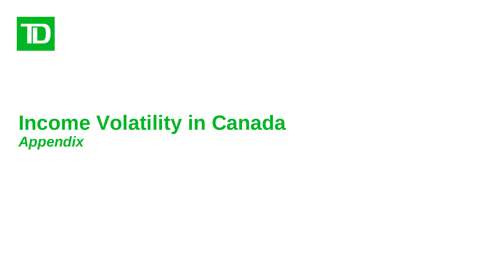

# **Income Volatility in Canada** *Appendix*